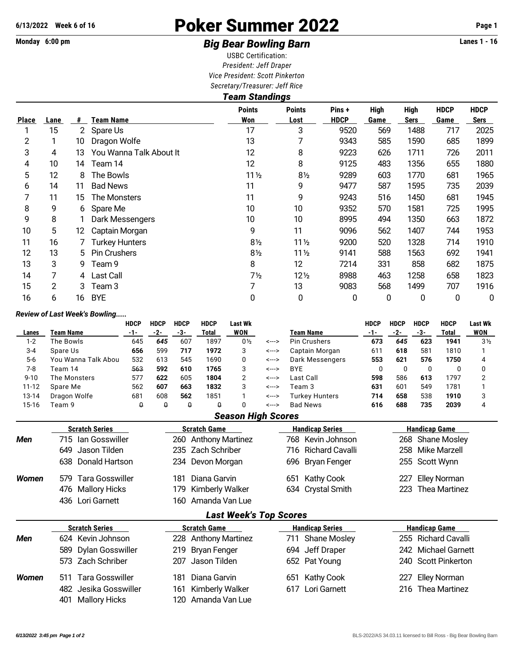# **6/13/2022 Week 6 of 16** Poker Summer 2022 **Page 1**

### Monday 6:00 pm **Example 2 rates 1 - 16 Big Bear Bowling Barn Example 2 rates 1 - 16 Lanes 1 - 16**

USBC Certification: *President: Jeff Draper Vice President: Scott Pinkerton Secretary/Treasurer: Jeff Rice*

|              | <b>Team Standings</b> |                |                         |                      |                       |                      |                     |                            |                            |                     |  |  |  |  |
|--------------|-----------------------|----------------|-------------------------|----------------------|-----------------------|----------------------|---------------------|----------------------------|----------------------------|---------------------|--|--|--|--|
| <b>Place</b> | Lane                  | #              | <b>Team Name</b>        | <b>Points</b><br>Won | <b>Points</b><br>Lost | Pins+<br><b>HDCP</b> | <b>High</b><br>Game | <b>High</b><br><b>Sers</b> | <b>HDCP</b><br><b>Game</b> | <b>HDCP</b><br>Sers |  |  |  |  |
|              | 15                    | 2 <sup>1</sup> | Spare Us                | 17                   | 3                     | 9520                 | 569                 | 1488                       | 717                        | 2025                |  |  |  |  |
| 2            |                       | 10             | Dragon Wolfe            | 13                   | 7                     | 9343                 | 585                 | 1590                       | 685                        | 1899                |  |  |  |  |
| 3            | 4                     | 13             | You Wanna Talk About It | 12                   | 8                     | 9223                 | 626                 | 1711                       | 726                        | 2011                |  |  |  |  |
| 4            | 10                    | 14             | Team 14                 | 12                   | 8                     | 9125                 | 483                 | 1356                       | 655                        | 1880                |  |  |  |  |
| 5            | 12                    | 8              | The Bowls               | $11\frac{1}{2}$      | $8\frac{1}{2}$        | 9289                 | 603                 | 1770                       | 681                        | 1965                |  |  |  |  |
| 6            | 14                    | 11             | <b>Bad News</b>         | 11                   | 9                     | 9477                 | 587                 | 1595                       | 735                        | 2039                |  |  |  |  |
| 7            | 11                    | 15             | The Monsters            | 11                   | 9                     | 9243                 | 516                 | 1450                       | 681                        | 1945                |  |  |  |  |
| 8            | 9                     | 6.             | Spare Me                | 10                   | 10                    | 9352                 | 570                 | 1581                       | 725                        | 1995                |  |  |  |  |
| 9            | 8                     |                | Dark Messengers         | 10                   | 10                    | 8995                 | 494                 | 1350                       | 663                        | 1872                |  |  |  |  |
| 10           | 5                     | 12             | Captain Morgan          | 9                    | 11                    | 9096                 | 562                 | 1407                       | 744                        | 1953                |  |  |  |  |
| 11           | 16                    |                | <b>Turkey Hunters</b>   | $8\frac{1}{2}$       | $11\frac{1}{2}$       | 9200                 | 520                 | 1328                       | 714                        | 1910                |  |  |  |  |
| 12           | 13                    | 5              | <b>Pin Crushers</b>     | $8\frac{1}{2}$       | $11\frac{1}{2}$       | 9141                 | 588                 | 1563                       | 692                        | 1941                |  |  |  |  |
| 13           | 3                     | 9              | Team 9                  | 8                    | 12                    | 7214                 | 331                 | 858                        | 682                        | 1875                |  |  |  |  |
| 14           | 7                     | 4              | <b>Last Call</b>        | 7 <sub>2</sub>       | 12 <sub>2</sub>       | 8988                 | 463                 | 1258                       | 658                        | 1823                |  |  |  |  |
| 15           | 2                     | 3              | Team <sub>3</sub>       |                      | 13                    | 9083                 | 568                 | 1499                       | 707                        | 1916                |  |  |  |  |
| 16           | 6                     | 16             | <b>BYE</b>              | 0                    | 0                     | 0                    | 0                   | 0                          | 0                          | 0                   |  |  |  |  |

### *Review of Last Week's Bowling.....*

|              | Review of Last Week's Dowling |                    |                     |                             |                         |                               |                        |                               |             |                      |                            |                        |                |  |  |  |
|--------------|-------------------------------|--------------------|---------------------|-----------------------------|-------------------------|-------------------------------|------------------------|-------------------------------|-------------|----------------------|----------------------------|------------------------|----------------|--|--|--|
|              |                               | <b>HDCP</b><br>-1- | <b>HDCP</b>         | <b>HDCP</b>                 | <b>HDCP</b>             | <b>Last Wk</b>                |                        |                               | <b>HDCP</b> | <b>HDCP</b>          | <b>HDCP</b>                | <b>HDCP</b>            | <b>Last Wk</b> |  |  |  |
| Lanes        | <b>Team Name</b>              |                    | $-2-$               | $-3-$                       | Total                   | <b>WON</b>                    |                        | <b>Team Name</b>              | $-1-$       | $-2-$                | $-3-$                      | <b>Total</b>           | WON            |  |  |  |
| $1 - 2$      | The Bowls                     | 645                | 645                 | 607                         | 1897                    | $0\frac{1}{2}$                | <--->                  | Pin Crushers                  | 673         | 645                  | 623                        | 1941                   | 3 <sub>2</sub> |  |  |  |
| $3 - 4$      | Spare Us                      | 656                | 599                 | 717                         | 1972                    | 3                             | <--->                  | Captain Morgan                | 611         | 618                  | 581                        | 1810                   |                |  |  |  |
| $5-6$        | You Wanna Talk Abou           | 532                | 613                 | 545                         | 1690                    | 0                             | <--->                  | Dark Messengers               | 553         | 621                  | 576                        | 1750                   | 4              |  |  |  |
| $7 - 8$      | Team 14                       | 563                | 592                 | 610                         | 1765                    | 3                             | <--->                  | <b>BYE</b>                    | 0           | 0                    | 0                          | 0                      | 0              |  |  |  |
| $9 - 10$     | The Monsters                  | 577                | 622                 | 605                         | 1804                    | 2                             | <--->                  | Last Call                     | 598         | 586                  | 613                        | 1797                   | 2              |  |  |  |
| $11 - 12$    | Spare Me                      | 562                | 607                 | 663                         | 1832                    | 3                             | <--->                  | Team 3                        | 631         | 601                  | 549                        | 1781                   |                |  |  |  |
| 13-14        | Dragon Wolfe                  | 681                | 608                 | 562                         | 1851                    |                               | <--->                  | <b>Turkey Hunters</b>         | 714         | 658                  | 538                        | 1910                   | 3              |  |  |  |
| $15 - 16$    | Team 9                        | $\Omega$           | $\Omega$            | $\Omega$                    | Û                       | 0                             | <--->                  | <b>Bad News</b>               | 616         | 688                  | 735                        | 2039                   | 4              |  |  |  |
|              |                               |                    |                     |                             |                         | <b>Season High Scores</b>     |                        |                               |             |                      |                            |                        |                |  |  |  |
|              | <b>Scratch Series</b>         |                    |                     | <b>Scratch Game</b>         |                         |                               |                        | <b>Handicap Series</b>        |             | <b>Handicap Game</b> |                            |                        |                |  |  |  |
| Men          | lan Gosswiller<br>715         |                    |                     | 260 Anthony Martinez<br>768 |                         |                               |                        | Kevin Johnson                 |             |                      | <b>Shane Mosley</b><br>268 |                        |                |  |  |  |
|              | Jason Tilden<br>649           |                    |                     | 235                         | <b>Zach Schriber</b>    |                               |                        | <b>Richard Cavalli</b><br>716 |             | 258                  |                            | <b>Mike Marzell</b>    |                |  |  |  |
|              | Donald Hartson<br>638         |                    |                     |                             | 234 Devon Morgan        |                               |                        | <b>Bryan Fenger</b><br>696    |             | 255                  |                            | Scott Wynn             |                |  |  |  |
| <b>Women</b> | <b>Tara Gosswiller</b><br>579 |                    |                     | 181                         | Diana Garvin            |                               |                        | <b>Kathy Cook</b><br>651      |             | 227                  |                            | <b>Elley Norman</b>    |                |  |  |  |
|              | <b>Mallory Hicks</b><br>476   |                    |                     | 179                         | Kimberly Walker         |                               |                        | <b>Crystal Smith</b><br>634   |             | 223                  |                            | Thea Martinez          |                |  |  |  |
|              | Lori Garnett<br>436           |                    |                     | 160                         | Amanda Van Lue          |                               |                        |                               |             |                      |                            |                        |                |  |  |  |
|              |                               |                    |                     |                             |                         | <b>Last Week's Top Scores</b> |                        |                               |             |                      |                            |                        |                |  |  |  |
|              | <b>Scratch Series</b>         |                    | <b>Scratch Game</b> |                             |                         |                               | <b>Handicap Series</b> | <b>Handicap Game</b>          |             |                      |                            |                        |                |  |  |  |
| Men          | Kevin Johnson<br>624          |                    |                     | 228                         | <b>Anthony Martinez</b> |                               |                        | <b>Shane Mosley</b><br>711    |             | 255                  |                            | <b>Richard Cavalli</b> |                |  |  |  |
|              | Dylan Gosswiller<br>589       |                    |                     | 219                         | Bryan Fenger            |                               |                        | 694 Jeff Draper               |             | 242                  |                            | <b>Michael Garnett</b> |                |  |  |  |
|              | Zach Schriber<br>573          |                    |                     | 207                         | Jason Tilden            |                               |                        | Pat Young<br>652              |             | 240                  |                            | <b>Scott Pinkerton</b> |                |  |  |  |
| <b>Women</b> | <b>Tara Gosswiller</b><br>511 |                    |                     | 181                         | Diana Garvin            |                               |                        | <b>Kathy Cook</b><br>651      |             | 227                  |                            | <b>Elley Norman</b>    |                |  |  |  |
|              | Jesika Gosswiller<br>482      |                    |                     | 161                         | <b>Kimberly Walker</b>  |                               |                        | Lori Garnett<br>617           |             | 216                  |                            | <b>Thea Martinez</b>   |                |  |  |  |

401 Mallory Hicks 120 Amanda Van Lue